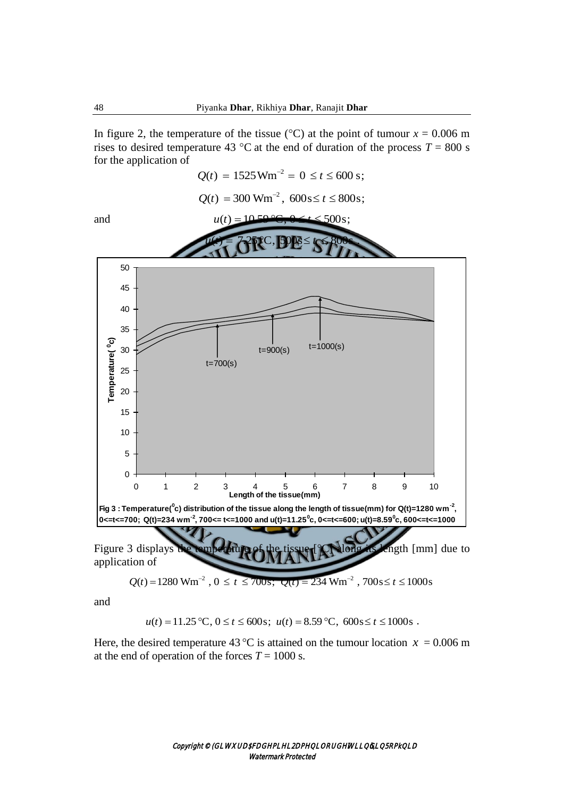In figure 2, the temperature of the tissue ( $\degree$ C) at the point of tumour *x* = 0.006 m rises to desired temperature 43 °C at the end of duration of the process  $T = 800$  s for the application of  $Q(t) = 1525 \text{ Wm}^{-2} = 0 \le t \le 600 \text{ s};$ 

$$
Q(t) = 300
$$
 Wm<sup>-2</sup>,  $600$ s $\leq t \leq 800$ s;





and

$$
u(t) = 11.25
$$
 °C,  $0 \le t \le 600$ s;  $u(t) = 8.59$  °C,  $600$ s $\le t \le 1000$ s.

Here, the desired temperature 43 °C is attained on the tumour location  $x = 0.006$  m at the end of operation of the forces  $T = 1000$  s.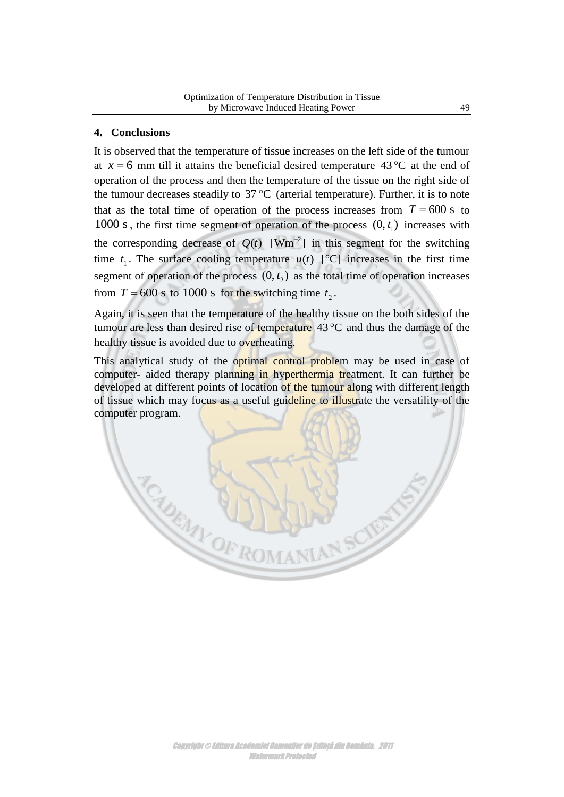## **4. Conclusions**

It is observed that the temperature of tissue increases on the left side of the tumour at  $x = 6$  mm till it attains the beneficial desired temperature  $43^{\circ}$ C at the end of operation of the process and then the temperature of the tissue on the right side of the tumour decreases steadily to  $37^{\circ}$ C (arterial temperature). Further, it is to note that as the total time of operation of the process increases from  $T = 600$  s to 1000 s, the first time segment of operation of the process  $(0, t_1)$  increases with the corresponding decrease of  $Q(t)$  [Wm<sup>-2</sup>] in this segment for the switching time  $t_1$ . The surface cooling temperature  $u(t)$  [°C] increases in the first time segment of operation of the process  $(0, t<sub>2</sub>)$  as the total time of operation increases from  $T = 600$  s to 1000 s for the switching time  $t_2$ .

Again, it is seen that the temperature of the healthy tissue on the both sides of the tumour are less than desired rise of temperature  $43^{\circ}$ C and thus the damage of the healthy tissue is avoided due to overheating.

This analytical study of the optimal control problem may be used in case of computer- aided therapy planning in hyperthermia treatment. It can further be developed at different points of location of the tumour along with different length of tissue which may focus as a useful guideline to illustrate the versatility of the computer program.

SURVEY OF ROMAN